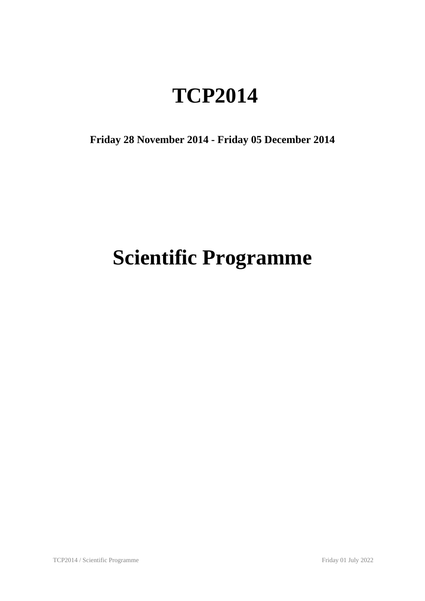## **TCP2014**

**Friday 28 November 2014 - Friday 05 December 2014**

# **Scientific Programme**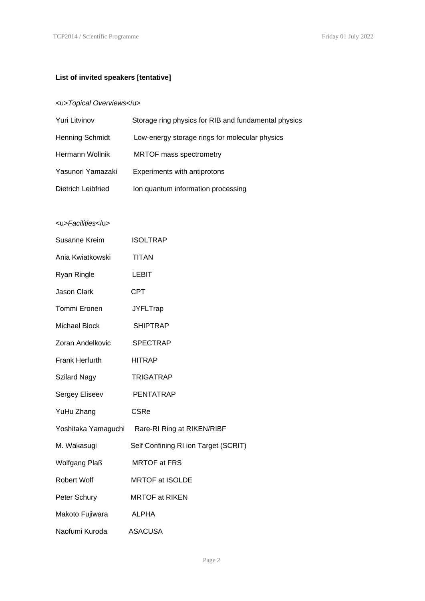#### **List of invited speakers [tentative]**

#### <u>*Topical Overviews*</u>

| Yuri Litvinov      | Storage ring physics for RIB and fundamental physics |
|--------------------|------------------------------------------------------|
| Henning Schmidt    | Low-energy storage rings for molecular physics       |
| Hermann Wollnik    | <b>MRTOF mass spectrometry</b>                       |
| Yasunori Yamazaki  | Experiments with antiprotons                         |
| Dietrich Leibfried | Ion quantum information processing                   |

#### <u>*Facilities*</u>

| Susanne Kreim        | <b>ISOLTRAP</b>                                |
|----------------------|------------------------------------------------|
| Ania Kwiatkowski     | <b>TITAN</b>                                   |
| Ryan Ringle          | LEBIT                                          |
| <b>Jason Clark</b>   | <b>CPT</b>                                     |
| Tommi Eronen         | <b>JYFLTrap</b>                                |
| Michael Block        | <b>SHIPTRAP</b>                                |
| Zoran Andelkovic     | <b>SPECTRAP</b>                                |
| Frank Herfurth       | <b>HITRAP</b>                                  |
| Szilard Nagy         | <b>TRIGATRAP</b>                               |
| Sergey Eliseev       | PENTATRAP                                      |
| YuHu Zhang           | <b>CSRe</b>                                    |
|                      | Yoshitaka Yamaguchi Rare-RI Ring at RIKEN/RIBF |
| M. Wakasugi          | Self Confining RI ion Target (SCRIT)           |
| <b>Wolfgang Plaß</b> | <b>MRTOF at FRS</b>                            |
| Robert Wolf          | <b>MRTOF at ISOLDE</b>                         |
| Peter Schury         | <b>MRTOF at RIKEN</b>                          |
| Makoto Fujiwara      | ALPHA                                          |
| Naofumi Kuroda       | ASACUSA                                        |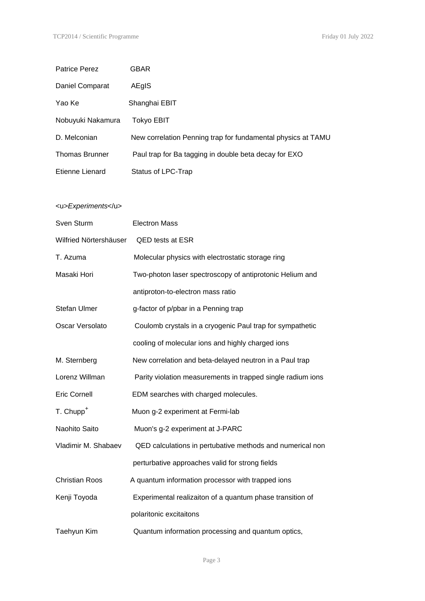| <b>Patrice Perez</b>   | <b>GBAR</b>                                                  |
|------------------------|--------------------------------------------------------------|
| Daniel Comparat        | AEgIS                                                        |
| Yao Ke                 | Shanghai EBIT                                                |
| Nobuyuki Nakamura      | <b>Tokyo EBIT</b>                                            |
| D. Melconian           | New correlation Penning trap for fundamental physics at TAMU |
| <b>Thomas Brunner</b>  | Paul trap for Ba tagging in double beta decay for EXO        |
| <b>Etienne Lienard</b> | Status of LPC-Trap                                           |
|                        |                                                              |
| <u>Experiments</u>     |                                                              |
| Sven Sturm             | <b>Electron Mass</b>                                         |
| Wilfried Nörtershäuser | QED tests at ESR                                             |
| T. Azuma               | Molecular physics with electrostatic storage ring            |
| Masaki Hori            | Two-photon laser spectroscopy of antiprotonic Helium and     |
|                        | antiproton-to-electron mass ratio                            |
| Stefan Ulmer           | g-factor of p/pbar in a Penning trap                         |
| Oscar Versolato        | Coulomb crystals in a cryogenic Paul trap for sympathetic    |
|                        | cooling of molecular ions and highly charged ions            |
| M. Sternberg           | New correlation and beta-delayed neutron in a Paul trap      |
| Lorenz Willman         | Parity violation measurements in trapped single radium ions  |
| <b>Eric Cornell</b>    | EDM searches with charged molecules.                         |
| T. Chupp <sup>+</sup>  | Muon g-2 experiment at Fermi-lab                             |
| Naohito Saito          | Muon's g-2 experiment at J-PARC                              |
| Vladimir M. Shabaev    | QED calculations in pertubative methods and numerical non    |
|                        | perturbative approaches valid for strong fields              |
| <b>Christian Roos</b>  | A quantum information processor with trapped ions            |
| Kenji Toyoda           | Experimental realizaiton of a quantum phase transition of    |
|                        | polaritonic excitaitons                                      |
| Taehyun Kim            | Quantum information processing and quantum optics,           |